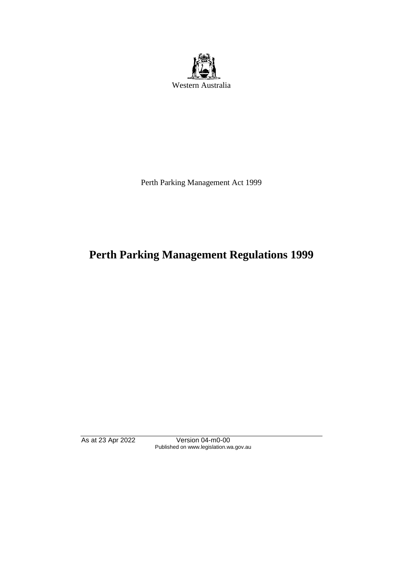

Perth Parking Management Act 1999

# **Perth Parking Management Regulations 1999**

As at 23 Apr 2022 Version 04-m0-00 Published on www.legislation.wa.gov.au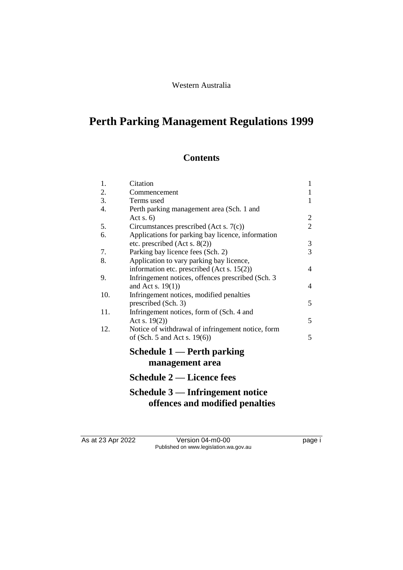#### Western Australia

## **Perth Parking Management Regulations 1999**

### **Contents**

| 1.  | Citation                                           | $\mathbf{1}$   |
|-----|----------------------------------------------------|----------------|
| 2.  | Commencement                                       | $\mathbf{1}$   |
| 3.  | Terms used                                         | $\mathbf{1}$   |
| 4.  | Perth parking management area (Sch. 1 and          |                |
|     | Act s. $6)$                                        | $\overline{c}$ |
| 5.  | Circumstances prescribed (Act s. 7(c))             | $\overline{2}$ |
| 6.  | Applications for parking bay licence, information  |                |
|     | etc. prescribed (Act s. $8(2)$ )                   | 3              |
| 7.  | Parking bay licence fees (Sch. 2)                  | 3              |
| 8.  | Application to vary parking bay licence,           |                |
|     | information etc. prescribed (Act s. 15(2))         | 4              |
| 9.  | Infringement notices, offences prescribed (Sch. 3) |                |
|     | and Act s. $19(1)$ )                               | 4              |
| 10. | Infringement notices, modified penalties           |                |
|     | prescribed (Sch. 3)                                | 5              |
| 11. | Infringement notices, form of (Sch. 4 and          |                |
|     | Act s. $19(2)$ )                                   | 5              |
| 12. | Notice of withdrawal of infringement notice, form  |                |
|     | of (Sch. 5 and Act s. $19(6)$ )                    | 5              |
|     | Schedule $1$ — Perth parking                       |                |
|     | management area                                    |                |
|     | <b>Schedule 2 — Licence fees</b>                   |                |
|     |                                                    |                |

### **Schedule 3 — Infringement notice offences and modified penalties**

As at 23 Apr 2022 Version 04-m0-00 Page i Published on www.legislation.wa.gov.au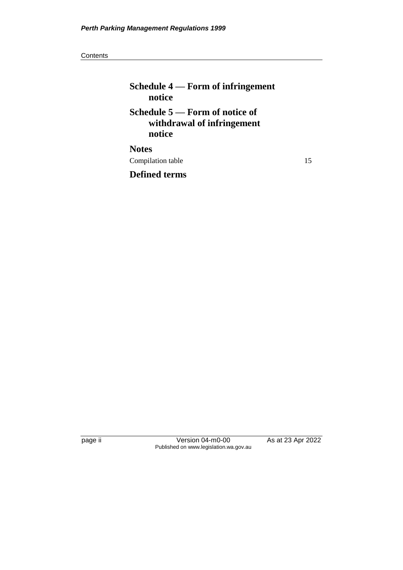#### **Contents**

## **Schedule 4 — Form of infringement notice Schedule 5 — Form of notice of withdrawal of infringement notice Notes**

Compilation table 15

**Defined terms**

page ii Version 04-m0-00 As at 23 Apr 2022 Published on www.legislation.wa.gov.au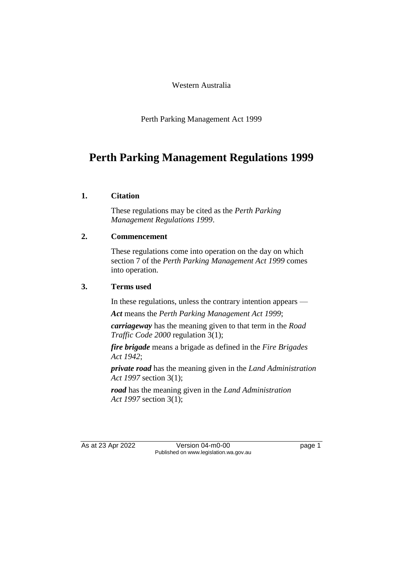Western Australia

Perth Parking Management Act 1999

## **Perth Parking Management Regulations 1999**

#### **1. Citation**

These regulations may be cited as the *Perth Parking Management Regulations 1999*.

#### **2. Commencement**

These regulations come into operation on the day on which section 7 of the *Perth Parking Management Act 1999* comes into operation.

#### **3. Terms used**

In these regulations, unless the contrary intention appears —

*Act* means the *Perth Parking Management Act 1999*;

*carriageway* has the meaning given to that term in the *Road Traffic Code 2000* regulation 3(1);

*fire brigade* means a brigade as defined in the *Fire Brigades Act 1942*;

*private road* has the meaning given in the *Land Administration Act 1997* section 3(1);

*road* has the meaning given in the *Land Administration Act 1997* section 3(1);

As at 23 Apr 2022 Version 04-m0-00 Page 1 Published on www.legislation.wa.gov.au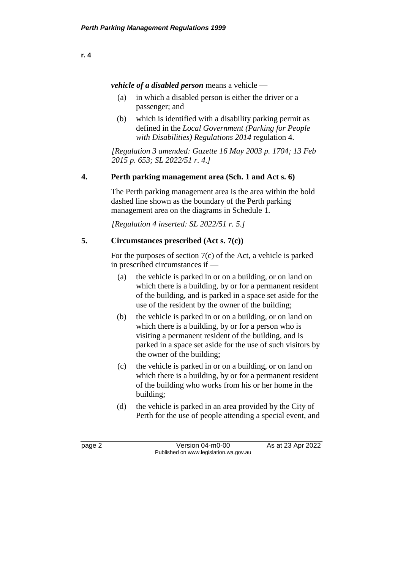$$
\underline{\mathbf{r. 4}}
$$

*vehicle of a disabled person* means a vehicle —

- (a) in which a disabled person is either the driver or a passenger; and
- (b) which is identified with a disability parking permit as defined in the *Local Government (Parking for People with Disabilities) Regulations 2014* regulation 4.

*[Regulation 3 amended: Gazette 16 May 2003 p. 1704; 13 Feb 2015 p. 653; SL 2022/51 r. 4.]*

#### **4. Perth parking management area (Sch. 1 and Act s. 6)**

The Perth parking management area is the area within the bold dashed line shown as the boundary of the Perth parking management area on the diagrams in Schedule 1.

*[Regulation 4 inserted: SL 2022/51 r. 5.]*

#### **5. Circumstances prescribed (Act s. 7(c))**

For the purposes of section 7(c) of the Act, a vehicle is parked in prescribed circumstances if —

- (a) the vehicle is parked in or on a building, or on land on which there is a building, by or for a permanent resident of the building, and is parked in a space set aside for the use of the resident by the owner of the building;
- (b) the vehicle is parked in or on a building, or on land on which there is a building, by or for a person who is visiting a permanent resident of the building, and is parked in a space set aside for the use of such visitors by the owner of the building;
- (c) the vehicle is parked in or on a building, or on land on which there is a building, by or for a permanent resident of the building who works from his or her home in the building;
- (d) the vehicle is parked in an area provided by the City of Perth for the use of people attending a special event, and

page 2 **Version 04-m0-00** As at 23 Apr 2022 Published on www.legislation.wa.gov.au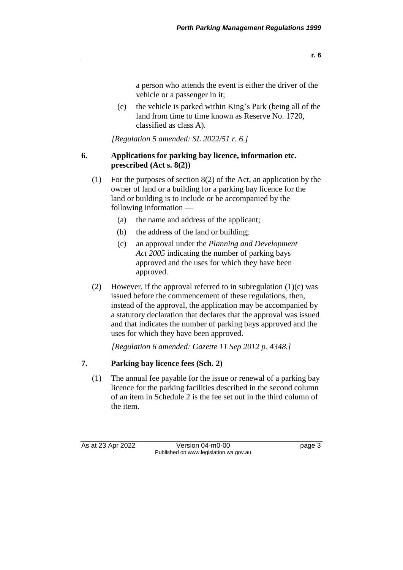a person who attends the event is either the driver of the vehicle or a passenger in it;

(e) the vehicle is parked within King's Park (being all of the land from time to time known as Reserve No. 1720, classified as class A).

*[Regulation 5 amended: SL 2022/51 r. 6.]*

#### **6. Applications for parking bay licence, information etc. prescribed (Act s. 8(2))**

- (1) For the purposes of section 8(2) of the Act, an application by the owner of land or a building for a parking bay licence for the land or building is to include or be accompanied by the following information —
	- (a) the name and address of the applicant;
	- (b) the address of the land or building;
	- (c) an approval under the *Planning and Development Act 2005* indicating the number of parking bays approved and the uses for which they have been approved.
- (2) However, if the approval referred to in subregulation  $(1)(c)$  was issued before the commencement of these regulations, then, instead of the approval, the application may be accompanied by a statutory declaration that declares that the approval was issued and that indicates the number of parking bays approved and the uses for which they have been approved.

*[Regulation 6 amended: Gazette 11 Sep 2012 p. 4348.]*

#### **7. Parking bay licence fees (Sch. 2)**

(1) The annual fee payable for the issue or renewal of a parking bay licence for the parking facilities described in the second column of an item in Schedule 2 is the fee set out in the third column of the item.

As at 23 Apr 2022 Version 04-m0-00 Page 3 Published on www.legislation.wa.gov.au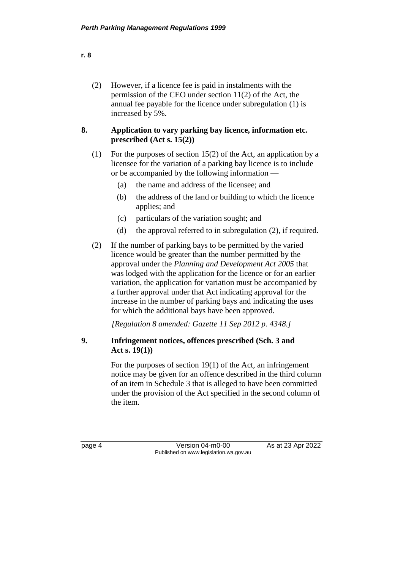| (2) | However, if a licence fee is paid in instalments with the     |
|-----|---------------------------------------------------------------|
|     | permission of the CEO under section $11(2)$ of the Act, the   |
|     | annual fee payable for the licence under subregulation (1) is |
|     | increased by 5%.                                              |

#### **8. Application to vary parking bay licence, information etc. prescribed (Act s. 15(2))**

- (1) For the purposes of section 15(2) of the Act, an application by a licensee for the variation of a parking bay licence is to include or be accompanied by the following information —
	- (a) the name and address of the licensee; and
	- (b) the address of the land or building to which the licence applies; and
	- (c) particulars of the variation sought; and
	- (d) the approval referred to in subregulation (2), if required.
- (2) If the number of parking bays to be permitted by the varied licence would be greater than the number permitted by the approval under the *Planning and Development Act 2005* that was lodged with the application for the licence or for an earlier variation, the application for variation must be accompanied by a further approval under that Act indicating approval for the increase in the number of parking bays and indicating the uses for which the additional bays have been approved.

*[Regulation 8 amended: Gazette 11 Sep 2012 p. 4348.]*

#### **9. Infringement notices, offences prescribed (Sch. 3 and Act s. 19(1))**

For the purposes of section 19(1) of the Act, an infringement notice may be given for an offence described in the third column of an item in Schedule 3 that is alleged to have been committed under the provision of the Act specified in the second column of the item.

page 4 Version 04-m0-00 As at 23 Apr 2022 Published on www.legislation.wa.gov.au

**r. 8**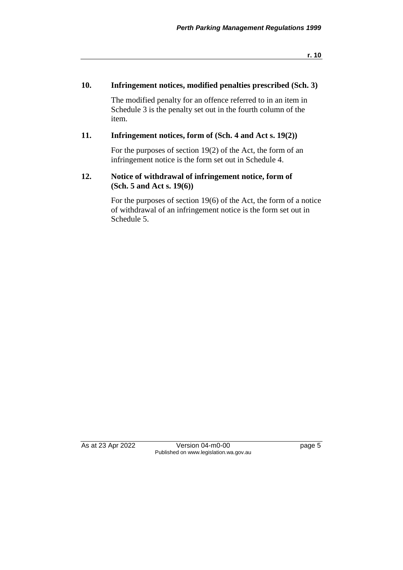**r. 10**

#### **10. Infringement notices, modified penalties prescribed (Sch. 3)**

The modified penalty for an offence referred to in an item in Schedule 3 is the penalty set out in the fourth column of the item.

#### **11. Infringement notices, form of (Sch. 4 and Act s. 19(2))**

For the purposes of section 19(2) of the Act, the form of an infringement notice is the form set out in Schedule 4.

#### **12. Notice of withdrawal of infringement notice, form of (Sch. 5 and Act s. 19(6))**

For the purposes of section 19(6) of the Act, the form of a notice of withdrawal of an infringement notice is the form set out in Schedule 5.

As at 23 Apr 2022 Version 04-m0-00 Version 04-m0-00 Page 5 Published on www.legislation.wa.gov.au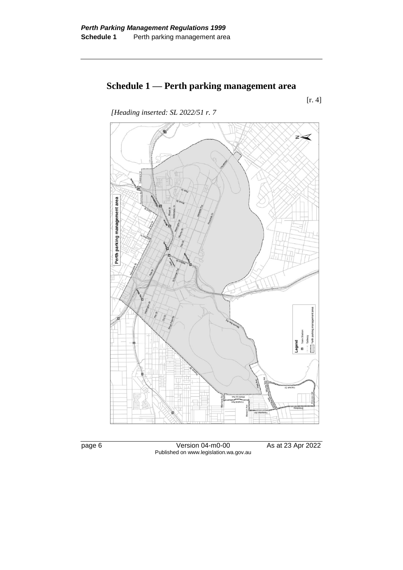## **Schedule 1 — Perth parking management area**

[r. 4]





page 6 Version 04-m0-00 As at 23 Apr 2022 Published on www.legislation.wa.gov.au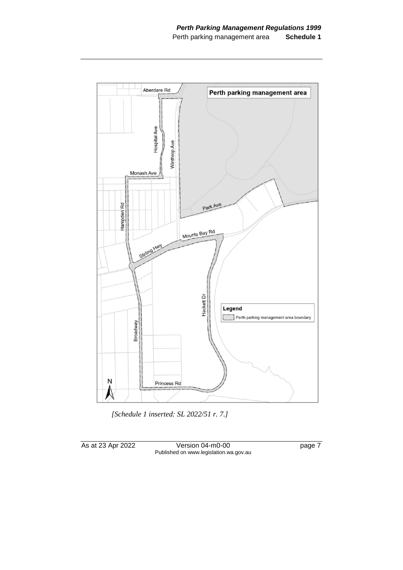

*[Schedule 1 inserted: SL 2022/51 r. 7.]*

As at 23 Apr 2022 Version 04-m0-00 page 7 Published on www.legislation.wa.gov.au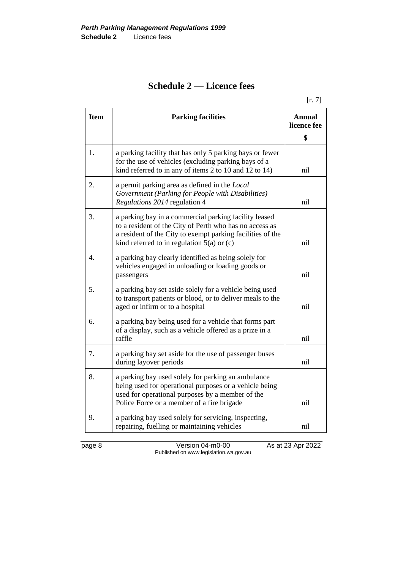## **Schedule 2 — Licence fees**

[r. 7]

| <b>Item</b>      | <b>Parking facilities</b>                                                                                                                                                                                                      | <b>Annual</b><br>licence fee |
|------------------|--------------------------------------------------------------------------------------------------------------------------------------------------------------------------------------------------------------------------------|------------------------------|
|                  |                                                                                                                                                                                                                                | \$                           |
| 1.               | a parking facility that has only 5 parking bays or fewer<br>for the use of vehicles (excluding parking bays of a<br>kind referred to in any of items 2 to 10 and 12 to 14)                                                     | nil                          |
| 2.               | a permit parking area as defined in the <i>Local</i><br>Government (Parking for People with Disabilities)<br>Regulations 2014 regulation 4                                                                                     | nil                          |
| 3.               | a parking bay in a commercial parking facility leased<br>to a resident of the City of Perth who has no access as<br>a resident of the City to exempt parking facilities of the<br>kind referred to in regulation $5(a)$ or (c) | nil                          |
| $\overline{4}$ . | a parking bay clearly identified as being solely for<br>vehicles engaged in unloading or loading goods or<br>passengers                                                                                                        | nil                          |
| 5.               | a parking bay set aside solely for a vehicle being used<br>to transport patients or blood, or to deliver meals to the<br>aged or infirm or to a hospital                                                                       | nil                          |
| 6.               | a parking bay being used for a vehicle that forms part<br>of a display, such as a vehicle offered as a prize in a<br>raffle                                                                                                    | nil                          |
| 7.               | a parking bay set aside for the use of passenger buses<br>during layover periods                                                                                                                                               | nil                          |
| 8.               | a parking bay used solely for parking an ambulance<br>being used for operational purposes or a vehicle being<br>used for operational purposes by a member of the<br>Police Force or a member of a fire brigade                 | nil                          |
| 9.               | a parking bay used solely for servicing, inspecting,<br>repairing, fuelling or maintaining vehicles                                                                                                                            | nil                          |

page 8 Version 04-m0-00 As at 23 Apr 2022 Published on www.legislation.wa.gov.au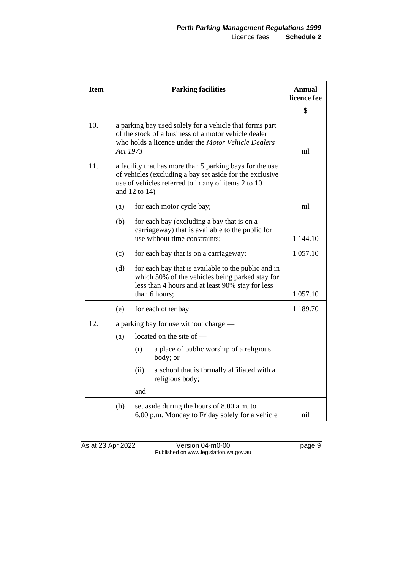| <b>Item</b> | <b>Parking facilities</b> |                                                                                                                                                                                                   | <b>Annual</b><br>licence fee |
|-------------|---------------------------|---------------------------------------------------------------------------------------------------------------------------------------------------------------------------------------------------|------------------------------|
|             |                           |                                                                                                                                                                                                   | \$                           |
| 10.         |                           | a parking bay used solely for a vehicle that forms part<br>of the stock of a business of a motor vehicle dealer<br>who holds a licence under the Motor Vehicle Dealers<br>Act 1973                |                              |
| 11.         |                           | a facility that has more than 5 parking bays for the use<br>of vehicles (excluding a bay set aside for the exclusive<br>use of vehicles referred to in any of items 2 to 10<br>and 12 to $14$ ) — |                              |
|             | (a)                       | for each motor cycle bay;                                                                                                                                                                         | nil                          |
|             | (b)                       | for each bay (excluding a bay that is on a<br>carriageway) that is available to the public for                                                                                                    |                              |
|             |                           | use without time constraints;                                                                                                                                                                     | 1 144.10                     |
|             | (c)                       | for each bay that is on a carriageway;                                                                                                                                                            | 1 057.10                     |
|             | (d)                       | for each bay that is available to the public and in<br>which 50% of the vehicles being parked stay for<br>less than 4 hours and at least 90% stay for less<br>than 6 hours;                       | 1 057.10                     |
|             |                           |                                                                                                                                                                                                   |                              |
|             | (e)                       | for each other bay                                                                                                                                                                                | 1 189.70                     |
| 12.         |                           | a parking bay for use without charge —                                                                                                                                                            |                              |
|             | (a)                       | located on the site of -                                                                                                                                                                          |                              |
|             |                           | a place of public worship of a religious<br>(i)<br>body; or                                                                                                                                       |                              |
|             |                           | (ii)<br>a school that is formally affiliated with a<br>religious body;                                                                                                                            |                              |
|             |                           | and                                                                                                                                                                                               |                              |
|             | (b)                       | set aside during the hours of 8.00 a.m. to<br>6.00 p.m. Monday to Friday solely for a vehicle                                                                                                     | nil                          |

As at 23 Apr 2022 Version 04-m0-00 page 9 Published on www.legislation.wa.gov.au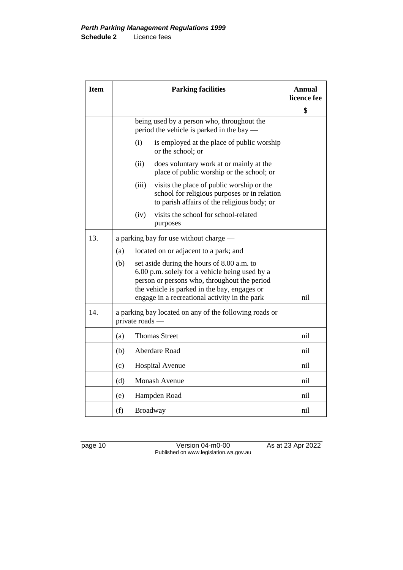| <b>Item</b> | <b>Parking facilities</b>                                                                                                                                                                                                                            | Annual<br>licence fee |
|-------------|------------------------------------------------------------------------------------------------------------------------------------------------------------------------------------------------------------------------------------------------------|-----------------------|
|             |                                                                                                                                                                                                                                                      | \$                    |
|             | being used by a person who, throughout the<br>period the vehicle is parked in the bay —                                                                                                                                                              |                       |
|             | (i)<br>is employed at the place of public worship<br>or the school; or                                                                                                                                                                               |                       |
|             | (ii)<br>does voluntary work at or mainly at the<br>place of public worship or the school; or                                                                                                                                                         |                       |
|             | (iii)<br>visits the place of public worship or the<br>school for religious purposes or in relation<br>to parish affairs of the religious body; or                                                                                                    |                       |
|             | visits the school for school-related<br>(iv)<br>purposes                                                                                                                                                                                             |                       |
| 13.         | a parking bay for use without charge —                                                                                                                                                                                                               |                       |
|             | located on or adjacent to a park; and<br>(a)                                                                                                                                                                                                         |                       |
|             | set aside during the hours of 8.00 a.m. to<br>(b)<br>6.00 p.m. solely for a vehicle being used by a<br>person or persons who, throughout the period<br>the vehicle is parked in the bay, engages or<br>engage in a recreational activity in the park | nil                   |
| 14.         | a parking bay located on any of the following roads or<br>private roads —                                                                                                                                                                            |                       |
|             | <b>Thomas Street</b><br>(a)                                                                                                                                                                                                                          | nil                   |
|             | (b)<br>Aberdare Road                                                                                                                                                                                                                                 | nil                   |
|             | (c)<br><b>Hospital Avenue</b>                                                                                                                                                                                                                        | nil                   |
|             | <b>Monash Avenue</b><br>(d)                                                                                                                                                                                                                          | nil                   |
|             | (e)<br>Hampden Road                                                                                                                                                                                                                                  | nil                   |
|             | (f)<br><b>Broadway</b>                                                                                                                                                                                                                               | nil                   |

page 10 Version 04-m0-00 As at 23 Apr 2022 Published on www.legislation.wa.gov.au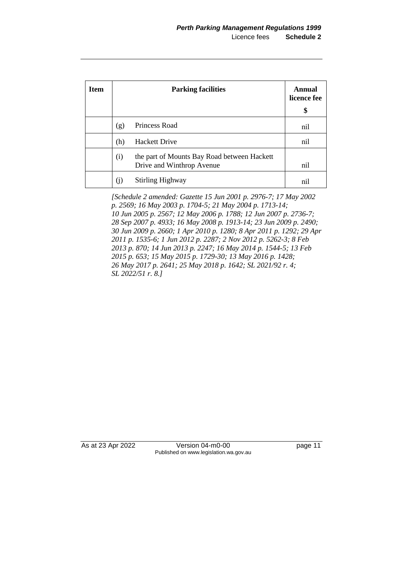| <b>Item</b> | <b>Parking facilities</b> |                                                                          | Annual<br>licence fee |
|-------------|---------------------------|--------------------------------------------------------------------------|-----------------------|
|             |                           |                                                                          | \$                    |
|             | (g)                       | Princess Road                                                            | nil                   |
|             | (h)                       | <b>Hackett Drive</b>                                                     | nil                   |
|             | (i)                       | the part of Mounts Bay Road between Hackett<br>Drive and Winthrop Avenue | nil                   |
|             | (1)                       | <b>Stirling Highway</b>                                                  | nil                   |

*[Schedule 2 amended: Gazette 15 Jun 2001 p. 2976-7; 17 May 2002 p. 2569; 16 May 2003 p. 1704-5; 21 May 2004 p. 1713-14; 10 Jun 2005 p. 2567; 12 May 2006 p. 1788; 12 Jun 2007 p. 2736-7; 28 Sep 2007 p. 4933; 16 May 2008 p. 1913-14; 23 Jun 2009 p. 2490; 30 Jun 2009 p. 2660; 1 Apr 2010 p. 1280; 8 Apr 2011 p. 1292; 29 Apr 2011 p. 1535-6; 1 Jun 2012 p. 2287; 2 Nov 2012 p. 5262-3; 8 Feb 2013 p. 870; 14 Jun 2013 p. 2247; 16 May 2014 p. 1544-5; 13 Feb 2015 p. 653; 15 May 2015 p. 1729-30; 13 May 2016 p. 1428; 26 May 2017 p. 2641; 25 May 2018 p. 1642; SL 2021/92 r. 4; SL 2022/51 r. 8.]*

As at 23 Apr 2022 Version 04-m0-00 page 11 Published on www.legislation.wa.gov.au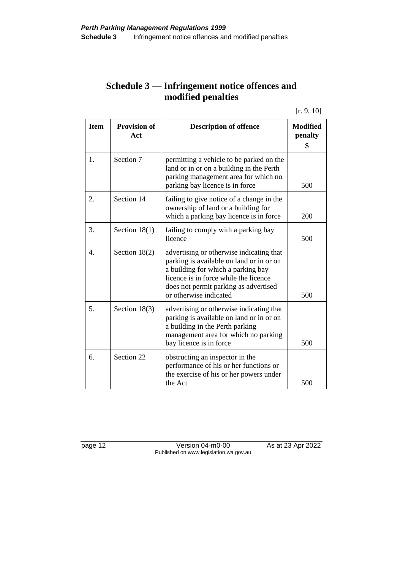### **Schedule 3 — Infringement notice offences and modified penalties**

[r. 9, 10]

| <b>Item</b>      | <b>Provision of</b><br>Act | <b>Description of offence</b>                                                                                                                                                                                                          | <b>Modified</b><br>penalty<br>\$ |
|------------------|----------------------------|----------------------------------------------------------------------------------------------------------------------------------------------------------------------------------------------------------------------------------------|----------------------------------|
| 1.               | Section 7                  | permitting a vehicle to be parked on the<br>land or in or on a building in the Perth<br>parking management area for which no<br>parking bay licence is in force                                                                        | 500                              |
| 2.               | Section 14                 | failing to give notice of a change in the<br>ownership of land or a building for<br>which a parking bay licence is in force                                                                                                            | 200                              |
| 3.               | Section $18(1)$            | failing to comply with a parking bay<br>licence                                                                                                                                                                                        | 500                              |
| $\overline{4}$ . | Section $18(2)$            | advertising or otherwise indicating that<br>parking is available on land or in or on<br>a building for which a parking bay<br>licence is in force while the licence<br>does not permit parking as advertised<br>or otherwise indicated | 500                              |
| 5.               | Section $18(3)$            | advertising or otherwise indicating that<br>parking is available on land or in or on<br>a building in the Perth parking<br>management area for which no parking<br>bay licence is in force                                             | 500                              |
| 6.               | Section 22                 | obstructing an inspector in the<br>performance of his or her functions or<br>the exercise of his or her powers under<br>the Act                                                                                                        | 500                              |

page 12 Version 04-m0-00 As at 23 Apr 2022 Published on www.legislation.wa.gov.au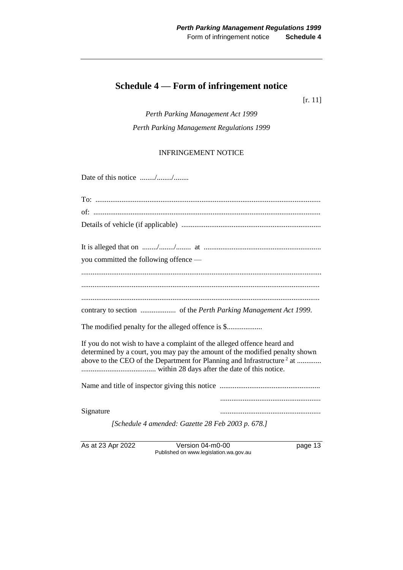### **Schedule 4 — Form of infringement notice**

[r. 11]

*Perth Parking Management Act 1999 Perth Parking Management Regulations 1999*

#### INFRINGEMENT NOTICE

Date of this notice ......../......../........

| you committed the following offence -                                                                                                                                                                                                        |  |
|----------------------------------------------------------------------------------------------------------------------------------------------------------------------------------------------------------------------------------------------|--|
|                                                                                                                                                                                                                                              |  |
|                                                                                                                                                                                                                                              |  |
|                                                                                                                                                                                                                                              |  |
|                                                                                                                                                                                                                                              |  |
|                                                                                                                                                                                                                                              |  |
| If you do not wish to have a complaint of the alleged offence heard and<br>determined by a court, you may pay the amount of the modified penalty shown<br>above to the CEO of the Department for Planning and Infrastructure <sup>2</sup> at |  |
|                                                                                                                                                                                                                                              |  |
|                                                                                                                                                                                                                                              |  |
| Signature                                                                                                                                                                                                                                    |  |
| [Schedule 4 amended: Gazette 28 Feb 2003 p. 678.]                                                                                                                                                                                            |  |

As at 23 Apr 2022 Version 04-m0-00 page 13 Published on www.legislation.wa.gov.au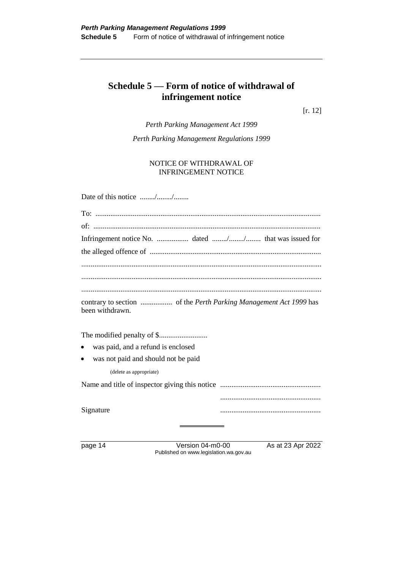### **Schedule 5 — Form of notice of withdrawal of infringement notice**

[r. 12]

*Perth Parking Management Act 1999*

*Perth Parking Management Regulations 1999*

NOTICE OF WITHDRAWAL OF INFRINGEMENT NOTICE

| Date of this notice //              |  |  |  |
|-------------------------------------|--|--|--|
|                                     |  |  |  |
|                                     |  |  |  |
|                                     |  |  |  |
|                                     |  |  |  |
|                                     |  |  |  |
|                                     |  |  |  |
| been withdrawn.                     |  |  |  |
|                                     |  |  |  |
| was paid, and a refund is enclosed  |  |  |  |
| was not paid and should not be paid |  |  |  |
| (delete as appropriate)             |  |  |  |
|                                     |  |  |  |
|                                     |  |  |  |
| Signature                           |  |  |  |

page 14 Version 04-m0-00 As at 23 Apr 2022 Published on www.legislation.wa.gov.au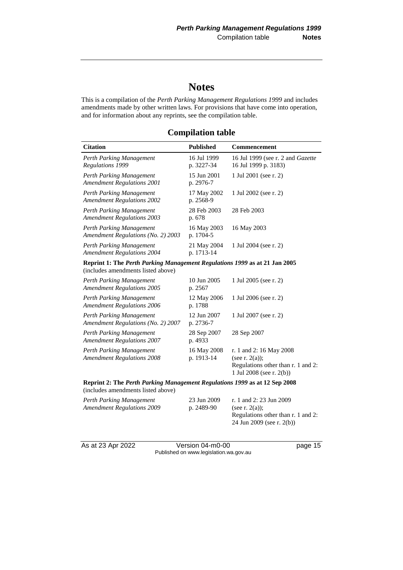## **Notes**

This is a compilation of the *Perth Parking Management Regulations 1999* and includes amendments made by other written laws. For provisions that have come into operation, and for information about any reprints, see the compilation table.

#### **Compilation table**

| <b>Citation</b>                                                                                                  | <b>Published</b>          | Commencement                                                                                                   |  |  |
|------------------------------------------------------------------------------------------------------------------|---------------------------|----------------------------------------------------------------------------------------------------------------|--|--|
| Perth Parking Management<br>Regulations 1999                                                                     | 16 Jul 1999<br>p. 3227-34 | 16 Jul 1999 (see r. 2 and Gazette<br>16 Jul 1999 p. 3183)                                                      |  |  |
| Perth Parking Management<br><b>Amendment Regulations 2001</b>                                                    | 15 Jun 2001<br>p. 2976-7  | 1 Jul 2001 (see r. 2)                                                                                          |  |  |
| Perth Parking Management<br><b>Amendment Regulations 2002</b>                                                    | 17 May 2002<br>p. 2568-9  | 1 Jul 2002 (see r. 2)                                                                                          |  |  |
| Perth Parking Management<br><b>Amendment Regulations 2003</b>                                                    | 28 Feb 2003<br>p. 678     | 28 Feb 2003                                                                                                    |  |  |
| Perth Parking Management<br>Amendment Regulations (No. 2) 2003                                                   | 16 May 2003<br>p. 1704-5  | 16 May 2003                                                                                                    |  |  |
| Perth Parking Management<br><b>Amendment Regulations 2004</b>                                                    | 21 May 2004<br>p. 1713-14 | 1 Jul 2004 (see r. 2)                                                                                          |  |  |
| Reprint 1: The Perth Parking Management Regulations 1999 as at 21 Jan 2005<br>(includes amendments listed above) |                           |                                                                                                                |  |  |
| Perth Parking Management<br><b>Amendment Regulations 2005</b>                                                    | 10 Jun 2005<br>p. 2567    | 1 Jul 2005 (see r. 2)                                                                                          |  |  |
| Perth Parking Management<br><b>Amendment Regulations 2006</b>                                                    | 12 May 2006<br>p. 1788    | 1 Jul 2006 (see r. 2)                                                                                          |  |  |
| Perth Parking Management<br>Amendment Regulations (No. 2) 2007                                                   | 12 Jun 2007<br>p. 2736-7  | 1 Jul 2007 (see r. 2)                                                                                          |  |  |
| Perth Parking Management<br><b>Amendment Regulations 2007</b>                                                    | 28 Sep 2007<br>p. 4933    | 28 Sep 2007                                                                                                    |  |  |
| Perth Parking Management<br><b>Amendment Regulations 2008</b>                                                    | 16 May 2008<br>p. 1913-14 | r. 1 and 2: 16 May 2008<br>(see r. $2(a)$ );<br>Regulations other than r. 1 and 2:<br>1 Jul 2008 (see r. 2(b)) |  |  |
| Reprint 2: The Perth Parking Management Regulations 1999 as at 12 Sep 2008<br>(includes amendments listed above) |                           |                                                                                                                |  |  |

| Perth Parking Management<br><b>Amendment Regulations 2009</b> | 23 Jun 2009<br>p. 2489-90 | r. 1 and 2: 23 Jun 2009<br>(see r. $2(a)$ ): |
|---------------------------------------------------------------|---------------------------|----------------------------------------------|
|                                                               |                           | Regulations other than r. 1 and 2:           |
|                                                               |                           | 24 Jun 2009 (see r. 2(b))                    |

As at 23 Apr 2022 Version 04-m0-00 page 15 Published on www.legislation.wa.gov.au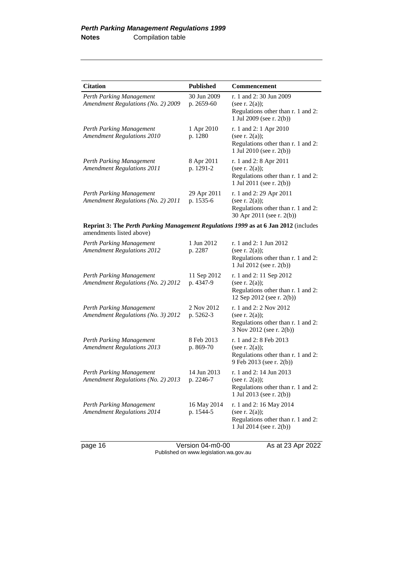| <b>Citation</b>                                                                                                        | <b>Published</b>          | <b>Commencement</b>                                                                                              |
|------------------------------------------------------------------------------------------------------------------------|---------------------------|------------------------------------------------------------------------------------------------------------------|
| Perth Parking Management<br>Amendment Regulations (No. 2) 2009                                                         | 30 Jun 2009<br>p. 2659-60 | r. 1 and 2:30 Jun 2009<br>(see r. $2(a)$ );<br>Regulations other than r. 1 and 2:<br>1 Jul 2009 (see r. 2(b))    |
| Perth Parking Management<br><b>Amendment Regulations 2010</b>                                                          | 1 Apr 2010<br>p. 1280     | r. 1 and 2: 1 Apr 2010<br>(see r. $2(a)$ );<br>Regulations other than r. 1 and 2:<br>1 Jul 2010 (see r. 2(b))    |
| Perth Parking Management<br><b>Amendment Regulations 2011</b>                                                          | 8 Apr 2011<br>p. 1291-2   | r. 1 and 2: 8 Apr 2011<br>(see r. $2(a)$ );<br>Regulations other than r. 1 and 2:<br>1 Jul 2011 (see r. $2(b)$ ) |
| Perth Parking Management<br>Amendment Regulations (No. 2) 2011                                                         | 29 Apr 2011<br>p. 1535-6  | r. 1 and 2: 29 Apr 2011<br>(see r. $2(a)$ );<br>Regulations other than r. 1 and 2:<br>30 Apr 2011 (see r. 2(b))  |
| <b>Reprint 3: The Perth Parking Management Regulations 1999 as at 6 Jan 2012</b> (includes<br>amendments listed above) |                           |                                                                                                                  |
| Perth Parking Management<br><b>Amendment Regulations 2012</b>                                                          | 1 Jun 2012<br>p. 2287     | r. 1 and 2: 1 Jun 2012<br>(see r. $2(a)$ );<br>Regulations other than r. 1 and 2:<br>1 Jul 2012 (see r. 2(b))    |
| Perth Parking Management<br>Amendment Regulations (No. 2) 2012                                                         | 11 Sep 2012<br>p. 4347-9  | r. 1 and 2: 11 Sep 2012<br>(see r. $2(a)$ );<br>Regulations other than r. 1 and 2:<br>12 Sep 2012 (see r. 2(b))  |
| Perth Parking Management<br>Amendment Regulations (No. 3) 2012                                                         | 2 Nov 2012<br>p. 5262-3   | r. 1 and 2: 2 Nov 2012<br>(see r. $2(a)$ );<br>Regulations other than r. 1 and 2:<br>3 Nov 2012 (see r. 2(b))    |
| Perth Parking Management<br><b>Amendment Regulations 2013</b>                                                          | 8 Feb 2013<br>p. 869-70   | r. 1 and 2: 8 Feb 2013<br>(see r. $2(a)$ );<br>Regulations other than r. 1 and 2:<br>9 Feb 2013 (see r. 2(b))    |
| Perth Parking Management<br>Amendment Regulations (No. 2) 2013                                                         | 14 Jun 2013<br>p. 2246-7  | r. 1 and 2: 14 Jun 2013<br>(see r. $2(a)$ );<br>Regulations other than r. 1 and 2:<br>1 Jul 2013 (see r. 2(b))   |
| Perth Parking Management<br><b>Amendment Regulations 2014</b>                                                          | 16 May 2014<br>p. 1544-5  | r. 1 and 2: 16 May 2014<br>(see r. $2(a)$ );<br>Regulations other than r. 1 and 2:<br>1 Jul 2014 (see r. 2(b))   |

page 16 Version 04-m0-00 As at 23 Apr 2022 Published on www.legislation.wa.gov.au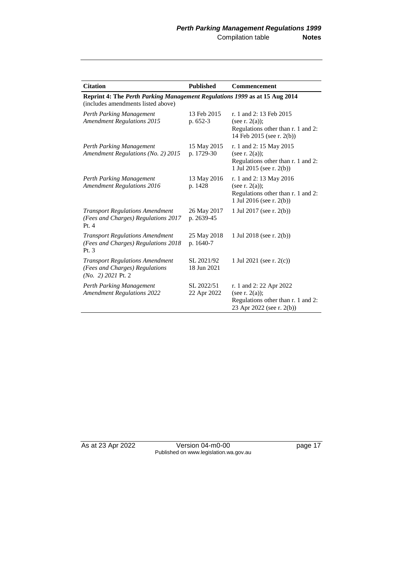| <b>Citation</b>                                                                                                  | <b>Published</b>          | <b>Commencement</b>                                                                                             |  |
|------------------------------------------------------------------------------------------------------------------|---------------------------|-----------------------------------------------------------------------------------------------------------------|--|
| Reprint 4: The Perth Parking Management Regulations 1999 as at 15 Aug 2014<br>(includes amendments listed above) |                           |                                                                                                                 |  |
| Perth Parking Management<br><b>Amendment Regulations 2015</b>                                                    | 13 Feb 2015<br>p. 652-3   | r. 1 and 2: 13 Feb 2015<br>(see r. $2(a)$ );<br>Regulations other than r. 1 and 2:<br>14 Feb 2015 (see r. 2(b)) |  |
| Perth Parking Management<br>Amendment Regulations (No. 2) 2015                                                   | 15 May 2015<br>p. 1729-30 | r. 1 and 2: 15 May 2015<br>(see r. $2(a)$ );<br>Regulations other than r. 1 and 2:<br>1 Jul 2015 (see r. 2(b))  |  |
| Perth Parking Management<br><b>Amendment Regulations 2016</b>                                                    | 13 May 2016<br>p. 1428    | r. 1 and 2: 13 May 2016<br>(see r. $2(a)$ );<br>Regulations other than r. 1 and 2:<br>1 Jul 2016 (see r. 2(b))  |  |
| <b>Transport Regulations Amendment</b><br>(Fees and Charges) Regulations 2017<br>Pt.4                            | 26 May 2017<br>p. 2639-45 | 1 Jul 2017 (see r. 2(b))                                                                                        |  |
| <b>Transport Regulations Amendment</b><br>(Fees and Charges) Regulations 2018<br>Pt. $3$                         | 25 May 2018<br>p. 1640-7  | 1 Jul 2018 (see r. $2(b)$ )                                                                                     |  |
| <b>Transport Regulations Amendment</b><br>(Fees and Charges) Regulations<br>$(No. 2) 2021$ Pt. 2                 | SL 2021/92<br>18 Jun 2021 | 1 Jul 2021 (see r. $2(c)$ )                                                                                     |  |
| Perth Parking Management<br><b>Amendment Regulations 2022</b>                                                    | SL 2022/51<br>22 Apr 2022 | r. 1 and 2: 22 Apr 2022<br>(see r. $2(a)$ );<br>Regulations other than r. 1 and 2:<br>23 Apr 2022 (see r. 2(b)) |  |

As at 23 Apr 2022 Version 04-m0-00 page 17 Published on www.legislation.wa.gov.au